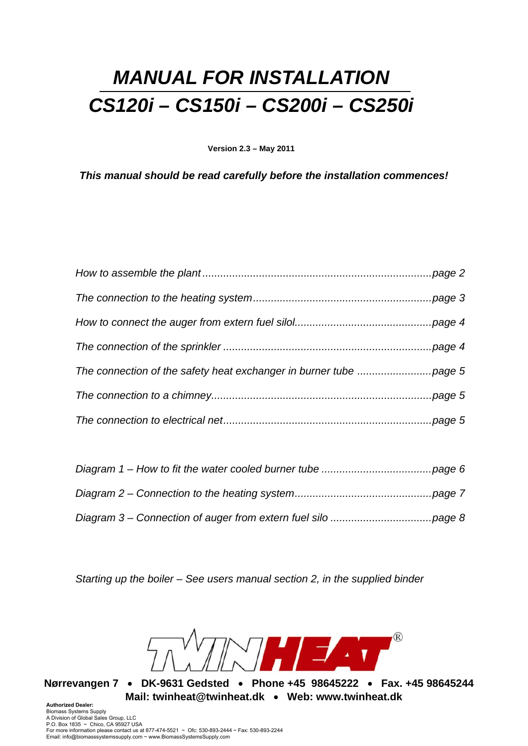# *MANUAL FOR INSTALLATION CS120i – CS150i – CS200i – CS250i*

**Version 2.3 – May 2011** 

*This manual should be read carefully before the installation commences!* 

*Starting up the boiler – See users manual section 2, in the supplied binder* 

 $\sqrt{R}$ NHEAT

**Nørrevangen 7 DK-9631 Gedsted Phone +45 98645222 Fax. +45 98645244 Mail: twinheat@twinheat.dk • Web: www.twinheat.dk** 

**Authorized Dealer:** Biomass Systems Supply A Division of Global Sales Group, LLC P.O. Box 1835 ~ Chico, CA 95927 USA For more information please contact us at 877-474-5521 ~ Ofc: 530-893-2444 ~ Fax: 530-893-2244 Email: info@biomasssystemssupply.com ~ www.BiomassSystemsSupply.com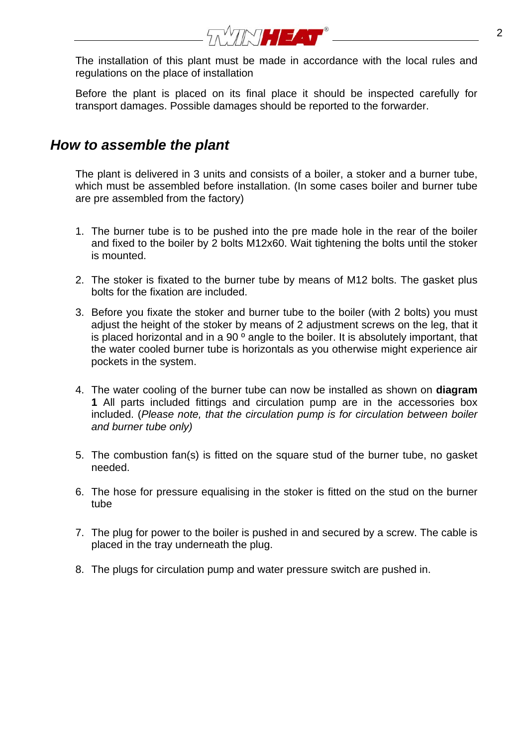

The installation of this plant must be made in accordance with the local rules and regulations on the place of installation

Before the plant is placed on its final place it should be inspected carefully for transport damages. Possible damages should be reported to the forwarder.

### *How to assemble the plant*

The plant is delivered in 3 units and consists of a boiler, a stoker and a burner tube, which must be assembled before installation. (In some cases boiler and burner tube are pre assembled from the factory)

- 1. The burner tube is to be pushed into the pre made hole in the rear of the boiler and fixed to the boiler by 2 bolts M12x60. Wait tightening the bolts until the stoker is mounted.
- 2. The stoker is fixated to the burner tube by means of M12 bolts. The gasket plus bolts for the fixation are included.
- 3. Before you fixate the stoker and burner tube to the boiler (with 2 bolts) you must adjust the height of the stoker by means of 2 adjustment screws on the leg, that it is placed horizontal and in a 90 $^{\circ}$  angle to the boiler. It is absolutely important, that the water cooled burner tube is horizontals as you otherwise might experience air pockets in the system.
- 4. The water cooling of the burner tube can now be installed as shown on **diagram 1** All parts included fittings and circulation pump are in the accessories box included. (*Please note, that the circulation pump is for circulation between boiler and burner tube only)*
- 5. The combustion fan(s) is fitted on the square stud of the burner tube, no gasket needed.
- 6. The hose for pressure equalising in the stoker is fitted on the stud on the burner tube
- 7. The plug for power to the boiler is pushed in and secured by a screw. The cable is placed in the tray underneath the plug.
- 8. The plugs for circulation pump and water pressure switch are pushed in.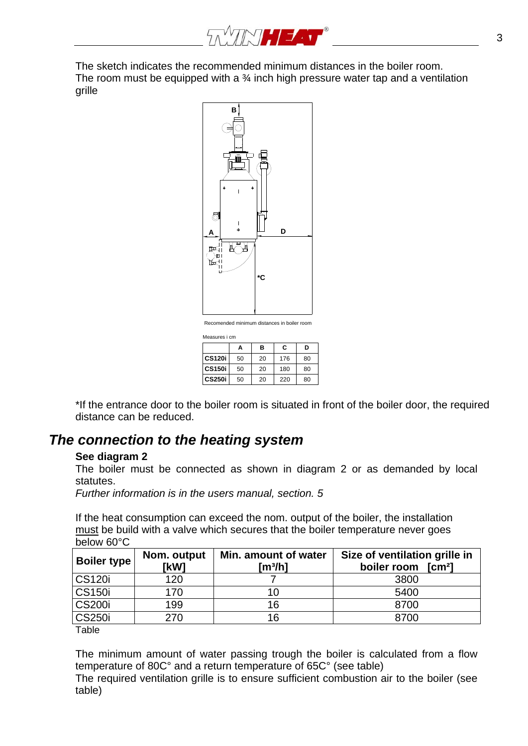

The sketch indicates the recommended minimum distances in the boiler room. The room must be equipped with a  $\frac{3}{4}$  inch high pressure water tap and a ventilation grille



Measures i cm

|               | Α  | в  | C   | D  |
|---------------|----|----|-----|----|
| <b>CS120i</b> | 50 | 20 | 176 | 80 |
| <b>CS150i</b> | 50 | 20 | 180 | 80 |
| <b>CS250i</b> | 50 | 20 | 220 | 80 |

\*If the entrance door to the boiler room is situated in front of the boiler door, the required distance can be reduced.

### *The connection to the heating system*

#### **See diagram 2**

The boiler must be connected as shown in diagram 2 or as demanded by local statutes.

*Further information is in the users manual, section. 5* 

If the heat consumption can exceed the nom. output of the boiler, the installation must be build with a valve which secures that the boiler temperature never goes below 60°C

| [kW] | Min. amount of water<br>[m¾h] | Size of ventilation grille in<br>boiler room<br>$\mathsf{[cm^2]}$ |
|------|-------------------------------|-------------------------------------------------------------------|
| 120  |                               | 3800                                                              |
| 170  | 10                            | 5400                                                              |
| 199  | 16                            | 8700                                                              |
| 270  | 16                            | 8700                                                              |
|      | Nom. output                   |                                                                   |

Table

The minimum amount of water passing trough the boiler is calculated from a flow temperature of 80C° and a return temperature of 65C° (see table)

The required ventilation grille is to ensure sufficient combustion air to the boiler (see table)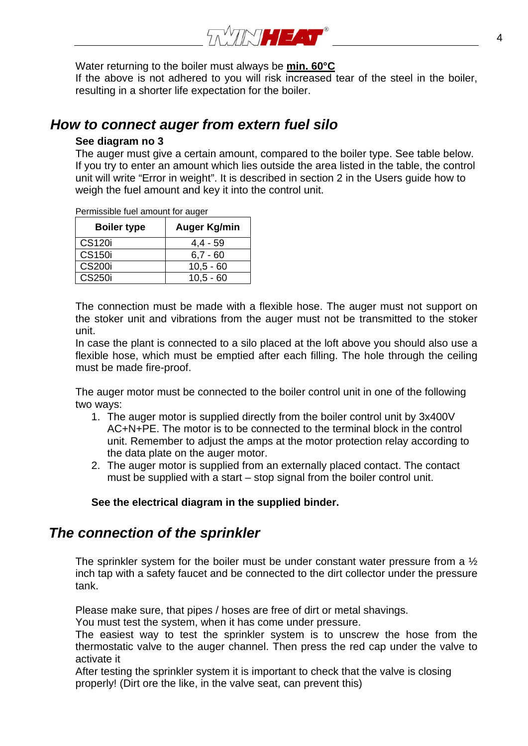

Water returning to the boiler must always be **min. 60°C**

If the above is not adhered to you will risk increased tear of the steel in the boiler, resulting in a shorter life expectation for the boiler.

#### *How to connect auger from extern fuel silo*

#### **See diagram no 3**

The auger must give a certain amount, compared to the boiler type. See table below. If you try to enter an amount which lies outside the area listed in the table, the control unit will write "Error in weight". It is described in section 2 in the Users guide how to weigh the fuel amount and key it into the control unit.

Permissible fuel amount for auger

| <b>Boiler type</b> | Auger Kg/min |
|--------------------|--------------|
| <b>CS120i</b>      | $4,4 - 59$   |
| CS <sub>150</sub>  | $6.7 - 60$   |
| <b>CS200i</b>      | $10,5 - 60$  |
| CS250i             | $10.5 - 60$  |

The connection must be made with a flexible hose. The auger must not support on the stoker unit and vibrations from the auger must not be transmitted to the stoker unit.

In case the plant is connected to a silo placed at the loft above you should also use a flexible hose, which must be emptied after each filling. The hole through the ceiling must be made fire-proof.

The auger motor must be connected to the boiler control unit in one of the following two ways:

- 1. The auger motor is supplied directly from the boiler control unit by 3x400V AC+N+PE. The motor is to be connected to the terminal block in the control unit. Remember to adjust the amps at the motor protection relay according to the data plate on the auger motor.
- 2. The auger motor is supplied from an externally placed contact. The contact must be supplied with a start – stop signal from the boiler control unit.

#### **See the electrical diagram in the supplied binder.**

### *The connection of the sprinkler*

The sprinkler system for the boiler must be under constant water pressure from a  $\frac{1}{2}$ inch tap with a safety faucet and be connected to the dirt collector under the pressure tank.

Please make sure, that pipes / hoses are free of dirt or metal shavings.

You must test the system, when it has come under pressure.

The easiest way to test the sprinkler system is to unscrew the hose from the thermostatic valve to the auger channel. Then press the red cap under the valve to activate it

After testing the sprinkler system it is important to check that the valve is closing properly! (Dirt ore the like, in the valve seat, can prevent this)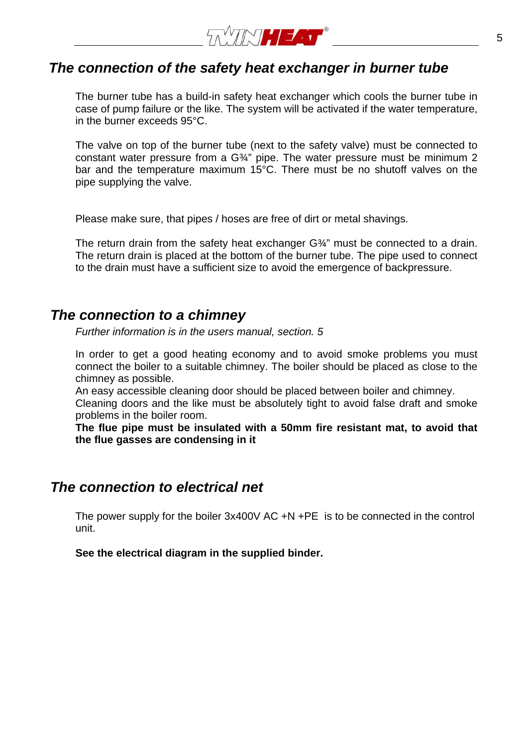

### *The connection of the safety heat exchanger in burner tube*

The burner tube has a build-in safety heat exchanger which cools the burner tube in case of pump failure or the like. The system will be activated if the water temperature, in the burner exceeds 95°C.

The valve on top of the burner tube (next to the safety valve) must be connected to constant water pressure from a G<sup>3</sup>/4" pipe. The water pressure must be minimum 2 bar and the temperature maximum 15°C. There must be no shutoff valves on the pipe supplying the valve.

Please make sure, that pipes / hoses are free of dirt or metal shavings.

The return drain from the safety heat exchanger G¾" must be connected to a drain. The return drain is placed at the bottom of the burner tube. The pipe used to connect to the drain must have a sufficient size to avoid the emergence of backpressure.

#### *The connection to a chimney*

*Further information is in the users manual, section. 5* 

In order to get a good heating economy and to avoid smoke problems you must connect the boiler to a suitable chimney. The boiler should be placed as close to the chimney as possible.

An easy accessible cleaning door should be placed between boiler and chimney.

Cleaning doors and the like must be absolutely tight to avoid false draft and smoke problems in the boiler room.

**The flue pipe must be insulated with a 50mm fire resistant mat, to avoid that the flue gasses are condensing in it** 

#### *The connection to electrical net*

The power supply for the boiler 3x400V AC +N +PE is to be connected in the control unit.

**See the electrical diagram in the supplied binder.**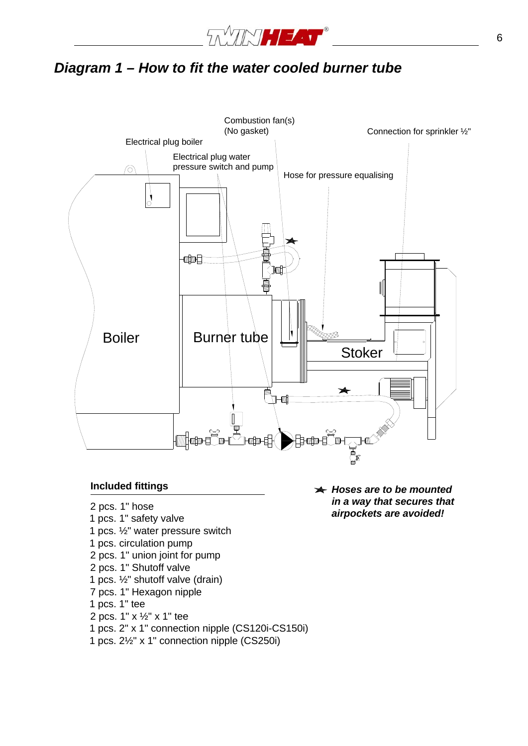

# *Diagram 1 – How to fit the water cooled burner tube*



#### **Included fittings**

- 2 pcs. 1" hose
- 1 pcs. 1" safety valve
- 1 pcs. ½" water pressure switch
- 1 pcs. circulation pump
- 2 pcs. 1" union joint for pump
- 2 pcs. 1" Shutoff valve
- 1 pcs. ½" shutoff valve (drain)
- 7 pcs. 1" Hexagon nipple
- 1 pcs. 1" tee
- 2 pcs. 1" x ½" x 1" tee
- 1 pcs. 2" x 1" connection nipple (CS120i-CS150i)
- 1 pcs. 2½" x 1" connection nipple (CS250i)

*Hoses are to be mounted in a way that secures that airpockets are avoided!*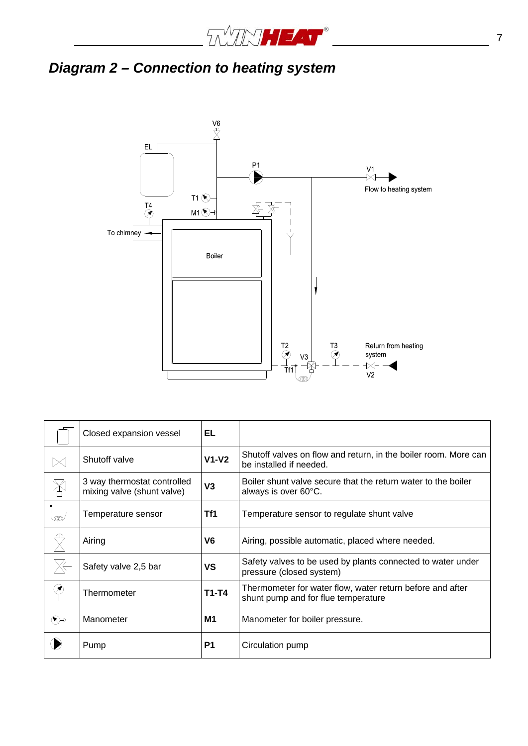

# *Diagram 2 – Connection to heating system*



|               | Closed expansion vessel                                   | EL             |                                                                                                  |
|---------------|-----------------------------------------------------------|----------------|--------------------------------------------------------------------------------------------------|
|               | Shutoff valve                                             | $V1-V2$        | Shutoff valves on flow and return, in the boiler room. More can<br>be installed if needed.       |
| $\mathbb X$   | 3 way thermostat controlled<br>mixing valve (shunt valve) | V3             | Boiler shunt valve secure that the return water to the boiler<br>always is over 60°C.            |
| ത്ത           | Temperature sensor                                        | Tf1            | Temperature sensor to regulate shunt valve                                                       |
|               | Airing                                                    | V6             | Airing, possible automatic, placed where needed.                                                 |
|               | Safety valve 2,5 bar                                      | ٧S             | Safety valves to be used by plants connected to water under<br>pressure (closed system)          |
| $\circledast$ | Thermometer                                               | $T1-T4$        | Thermometer for water flow, water return before and after<br>shunt pump and for flue temperature |
| $\bigotimes$  | Manometer                                                 | M1             | Manometer for boiler pressure.                                                                   |
|               | Pump                                                      | P <sub>1</sub> | Circulation pump                                                                                 |